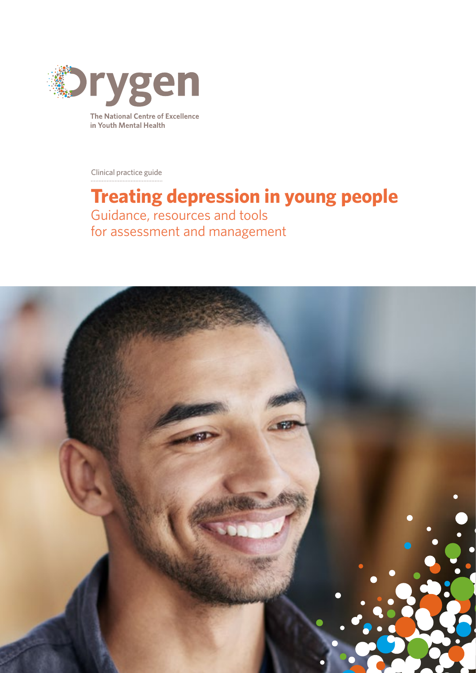

in Youth Mental Health

Clinical practice guide

## **Treating depression in young people** Guidance, resources and tools for assessment and management

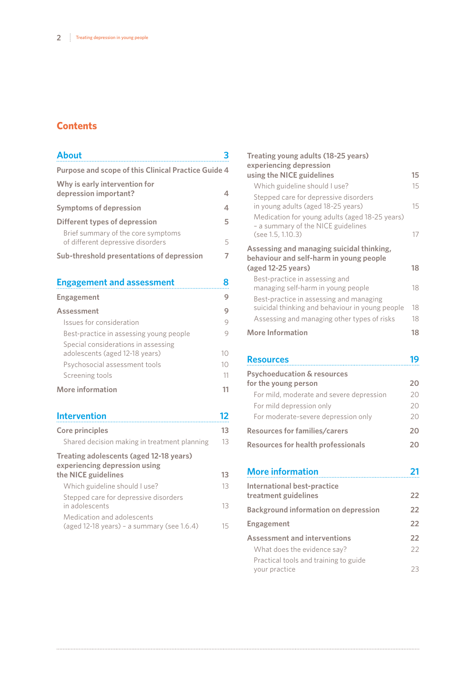## **Contents**

| <b>About</b>                                                            |   |
|-------------------------------------------------------------------------|---|
| Purpose and scope of this Clinical Practice Guide 4                     |   |
| Why is early intervention for<br>depression important?                  | 4 |
| <b>Symptoms of depression</b>                                           | 4 |
| Different types of depression                                           | 5 |
| Brief summary of the core symptoms<br>of different depressive disorders | 5 |
| Sub-threshold presentations of depression                               |   |

| <b>Engagement and assessment</b>                                      |    |
|-----------------------------------------------------------------------|----|
| <b>Engagement</b>                                                     | 9  |
| Assessment                                                            | 9  |
| Issues for consideration                                              | 9  |
| Best-practice in assessing young people                               |    |
| Special considerations in assessing<br>adolescents (aged 12-18 years) | 10 |
| Psychosocial assessment tools                                         | 10 |
| Screening tools                                                       | 11 |
| <b>More information</b>                                               |    |

## **[Intervention](#page-11-0) 12**

| 13 |
|----|
|    |
| 13 |
| 13 |
| 13 |
| 15 |
|    |

| Treating young adults (18-25 years)<br>experiencing depression                                             |    |
|------------------------------------------------------------------------------------------------------------|----|
| using the NICE guidelines                                                                                  | 15 |
| Which guideline should I use?                                                                              | 15 |
| Stepped care for depressive disorders<br>in young adults (aged 18-25 years)                                | 15 |
| Medication for young adults (aged 18-25 years)<br>- a summary of the NICE guidelines<br>(see 1.5, 1.10.3)  | 17 |
| Assessing and managing suicidal thinking,<br>behaviour and self-harm in young people<br>(aged 12-25 years) | 18 |
| Best-practice in assessing and<br>managing self-harm in young people                                       | 18 |
| Best-practice in assessing and managing<br>suicidal thinking and behaviour in young people                 | 18 |
| Assessing and managing other types of risks                                                                | 18 |
| More Information                                                                                           | 18 |

| <b>Resources</b>                          |    |
|-------------------------------------------|----|
| <b>Psychoeducation &amp; resources</b>    |    |
| for the young person                      | 20 |
| For mild, moderate and severe depression  | 20 |
| For mild depression only                  |    |
| For moderate-severe depression only       | 20 |
| <b>Resources for families/carers</b>      | 20 |
| <b>Resources for health professionals</b> |    |

| <b>More information</b>                                |    |
|--------------------------------------------------------|----|
| International best-practice<br>treatment guidelines    | 22 |
| <b>Background information on depression</b>            | 22 |
| Engagement                                             | 22 |
| <b>Assessment and interventions</b>                    | 22 |
| What does the evidence say?                            | 22 |
| Practical tools and training to guide<br>your practice | フ3 |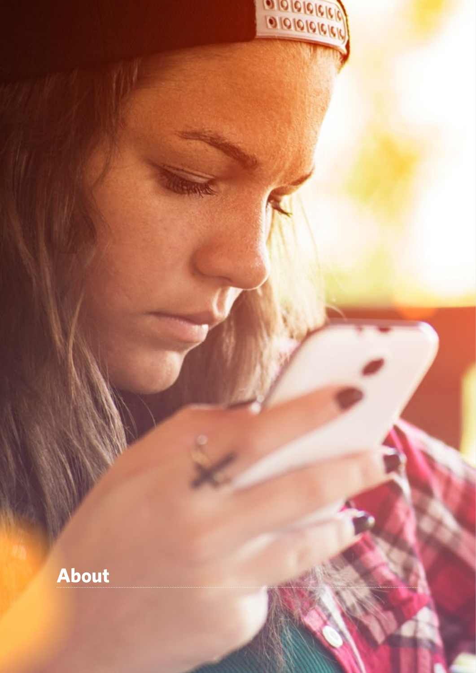<span id="page-2-0"></span>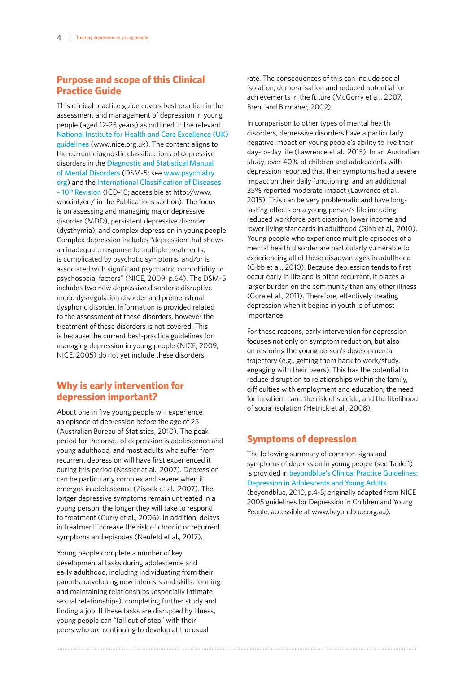## <span id="page-3-0"></span>**Purpose and scope of this Clinical Practice Guide**

This clinical practice guide covers best practice in the assessment and management of depression in young people (aged 12-25 years) as outlined in the relevant [National Institute for Health and Care Excellence \(UK\)](https://www.nice.org.uk/guidance)  [guidelines](https://www.nice.org.uk/guidance) (www.nice.org.uk). The content aligns to the current diagnostic classifications of depressive disorders in the [Diagnostic and Statistical Manual](https://www.psychiatry.org/psychiatrists/practice/dsm)  [of Mental Disorders](https://www.psychiatry.org/psychiatrists/practice/dsm) (DSM-5; see [www.psychiatry.](http://www.psychiatry.org) [org](http://www.psychiatry.org)) and the [International Classification of Diseases](http://www.who.int/classifications/icd/en/)  [– 10th Revision](http://www.who.int/classifications/icd/en/) (ICD-10; accessible at http://www. who.int/en/ in the Publications section). The focus is on assessing and managing major depressive disorder (MDD), persistent depressive disorder (dysthymia), and complex depression in young people. Complex depression includes "depression that shows an inadequate response to multiple treatments, is complicated by psychotic symptoms, and/or is associated with significant psychiatric comorbidity or psychosocial factors" (NICE, 2009; p.64). The DSM-5 includes two new depressive disorders: disruptive mood dysregulation disorder and premenstrual dysphoric disorder. Information is provided related to the assessment of these disorders, however the treatment of these disorders is not covered. This is because the current best-practice guidelines for managing depression in young people (NICE, 2009, NICE, 2005) do not yet include these disorders.

## **Why is early intervention for depression important?**

About one in five young people will experience an episode of depression before the age of 25 (Australian Bureau of Statistics, 2010). The peak period for the onset of depression is adolescence and young adulthood, and most adults who suffer from recurrent depression will have first experienced it during this period (Kessler et al., 2007). Depression can be particularly complex and severe when it emerges in adolescence (Zisook et al., 2007). The longer depressive symptoms remain untreated in a young person, the longer they will take to respond to treatment (Curry et al., 2006). In addition, delays in treatment increase the risk of chronic or recurrent symptoms and episodes (Neufeld et al., 2017).

Young people complete a number of key developmental tasks during adolescence and early adulthood, including individuating from their parents, developing new interests and skills, forming and maintaining relationships (especially intimate sexual relationships), completing further study and finding a job. If these tasks are disrupted by illness, young people can "fall out of step" with their peers who are continuing to develop at the usual

rate. The consequences of this can include social isolation, demoralisation and reduced potential for achievements in the future (McGorry et al., 2007, Brent and Birmaher, 2002).

In comparison to other types of mental health disorders, depressive disorders have a particularly negative impact on young people's ability to live their day-to-day life (Lawrence et al., 2015). In an Australian study, over 40% of children and adolescents with depression reported that their symptoms had a severe impact on their daily functioning, and an additional 35% reported moderate impact (Lawrence et al., 2015). This can be very problematic and have longlasting effects on a young person's life including reduced workforce participation, lower income and lower living standards in adulthood (Gibb et al., 2010). Young people who experience multiple episodes of a mental health disorder are particularly vulnerable to experiencing all of these disadvantages in adulthood (Gibb et al., 2010). Because depression tends to first occur early in life and is often recurrent, it places a larger burden on the community than any other illness (Gore et al., 2011). Therefore, effectively treating depression when it begins in youth is of utmost importance.

For these reasons, early intervention for depression focuses not only on symptom reduction, but also on restoring the young person's developmental trajectory (e.g., getting them back to work/study, engaging with their peers). This has the potential to reduce disruption to relationships within the family, difficulties with employment and education, the need for inpatient care, the risk of suicide, and the likelihood of social isolation (Hetrick et al., 2008).

## **Symptoms of depression**

The following summary of common signs and symptoms of depression in young people (see Table 1) is provided in [beyondblue's Clinical Practice Guidelines:](https://www.beyondblue.org.au/health-professionals/clinical-practice-guidelines)  [Depression in Adolescents and Young Adults](https://www.beyondblue.org.au/health-professionals/clinical-practice-guidelines) (beyondblue, 2010, p.4-5; originally adapted from NICE 2005 guidelines for Depression in Children and Young People; accessible at www.beyondblue.org.au).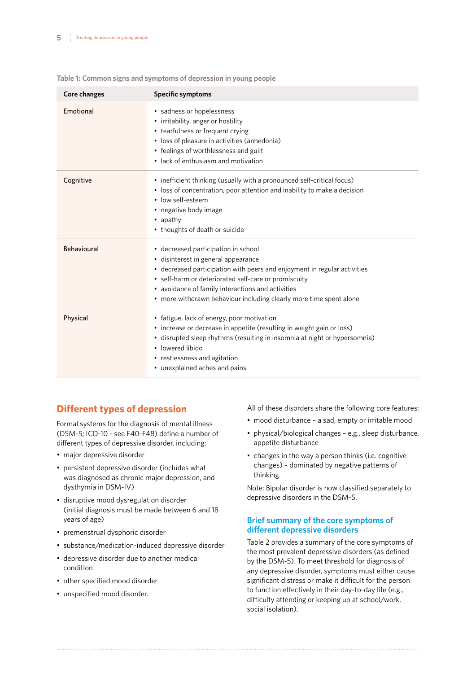| Core changes       | <b>Specific symptoms</b>                                                                                                                                                                                                                                                                                                                  |
|--------------------|-------------------------------------------------------------------------------------------------------------------------------------------------------------------------------------------------------------------------------------------------------------------------------------------------------------------------------------------|
| Emotional          | • sadness or hopelessness<br>• irritability, anger or hostility<br>• tearfulness or frequent crying<br>• loss of pleasure in activities (anhedonia)<br>• feelings of worthlessness and guilt<br>• lack of enthusiasm and motivation                                                                                                       |
| Cognitive          | • inefficient thinking (usually with a pronounced self-critical focus)<br>• loss of concentration, poor attention and inability to make a decision<br>· low self-esteem<br>• negative body image<br>• apathy<br>• thoughts of death or suicide                                                                                            |
| <b>Behavioural</b> | • decreased participation in school<br>· disinterest in general appearance<br>• decreased participation with peers and enjoyment in regular activities<br>• self-harm or deteriorated self-care or promiscuity<br>• avoidance of family interactions and activities<br>• more withdrawn behaviour including clearly more time spent alone |
| Physical           | • fatigue, lack of energy, poor motivation<br>• increase or decrease in appetite (resulting in weight gain or loss)<br>• disrupted sleep rhythms (resulting in insomnia at night or hypersomnia)<br>• lowered libido<br>• restlessness and agitation<br>• unexplained aches and pains                                                     |

#### <span id="page-4-0"></span>**Table 1: Common signs and symptoms of depression in young people**

## **Different types of depression**

Formal systems for the diagnosis of mental illness (DSM-5; ICD-10 - see F40-F48) define a number of different types of depressive disorder, including:

- major depressive disorder
- persistent depressive disorder (includes what was diagnosed as chronic major depression, and dysthymia in DSM-IV)
- disruptive mood dysregulation disorder (initial diagnosis must be made between 6 and 18 years of age)
- premenstrual dysphoric disorder
- substance/medication-induced depressive disorder
- depressive disorder due to another medical condition
- other specified mood disorder
- unspecified mood disorder.

All of these disorders share the following core features:

- mood disturbance a sad, empty or irritable mood
- physical/biological changes e.g., sleep disturbance, appetite disturbance
- changes in the way a person thinks (i.e. cognitive changes) – dominated by negative patterns of thinking.

Note: Bipolar disorder is now classified separately to depressive disorders in the DSM-5.

#### **Brief summary of the core symptoms of different depressive disorders**

Table 2 provides a summary of the core symptoms of the most prevalent depressive disorders (as defined by the DSM-5). To meet threshold for diagnosis of any depressive disorder, symptoms must either cause significant distress or make it difficult for the person to function effectively in their day-to-day life (e.g., difficulty attending or keeping up at school/work, social isolation).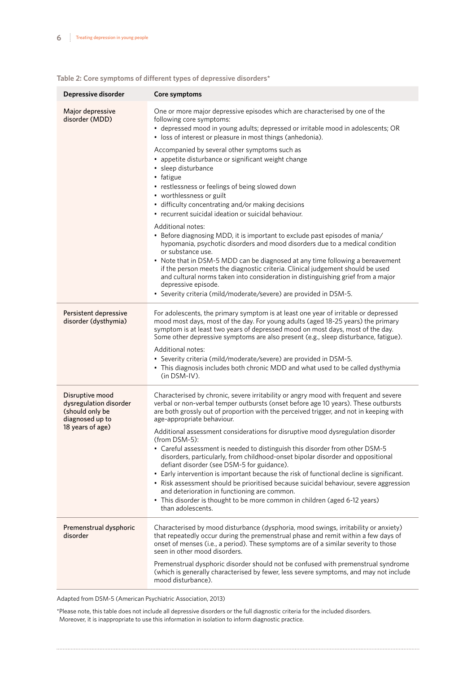| Depressive disorder                                                                                 | Core symptoms                                                                                                                                                                                                                                                                                                                                                                                                                                                                                                                                                                                                                                                                                                                                                                                                                                                                                                                                                        |
|-----------------------------------------------------------------------------------------------------|----------------------------------------------------------------------------------------------------------------------------------------------------------------------------------------------------------------------------------------------------------------------------------------------------------------------------------------------------------------------------------------------------------------------------------------------------------------------------------------------------------------------------------------------------------------------------------------------------------------------------------------------------------------------------------------------------------------------------------------------------------------------------------------------------------------------------------------------------------------------------------------------------------------------------------------------------------------------|
| Major depressive<br>disorder (MDD)                                                                  | One or more major depressive episodes which are characterised by one of the<br>following core symptoms:<br>· depressed mood in young adults; depressed or irritable mood in adolescents; OR<br>• loss of interest or pleasure in most things (anhedonia).<br>Accompanied by several other symptoms such as<br>• appetite disturbance or significant weight change                                                                                                                                                                                                                                                                                                                                                                                                                                                                                                                                                                                                    |
|                                                                                                     | • sleep disturbance<br>• fatigue<br>• restlessness or feelings of being slowed down<br>• worthlessness or guilt<br>· difficulty concentrating and/or making decisions<br>• recurrent suicidal ideation or suicidal behaviour.                                                                                                                                                                                                                                                                                                                                                                                                                                                                                                                                                                                                                                                                                                                                        |
|                                                                                                     | Additional notes:<br>• Before diagnosing MDD, it is important to exclude past episodes of mania/<br>hypomania, psychotic disorders and mood disorders due to a medical condition<br>or substance use.<br>• Note that in DSM-5 MDD can be diagnosed at any time following a bereavement<br>if the person meets the diagnostic criteria. Clinical judgement should be used<br>and cultural norms taken into consideration in distinguishing grief from a major<br>depressive episode.<br>• Severity criteria (mild/moderate/severe) are provided in DSM-5.                                                                                                                                                                                                                                                                                                                                                                                                             |
| Persistent depressive<br>disorder (dysthymia)                                                       | For adolescents, the primary symptom is at least one year of irritable or depressed<br>mood most days, most of the day. For young adults (aged 18-25 years) the primary<br>symptom is at least two years of depressed mood on most days, most of the day.<br>Some other depressive symptoms are also present (e.g., sleep disturbance, fatigue).<br>Additional notes:<br>• Severity criteria (mild/moderate/severe) are provided in DSM-5.<br>• This diagnosis includes both chronic MDD and what used to be called dysthymia<br>$(in$ DSM-IV $).$                                                                                                                                                                                                                                                                                                                                                                                                                   |
| Disruptive mood<br>dysregulation disorder<br>(should only be<br>diagnosed up to<br>18 years of age) | Characterised by chronic, severe irritability or angry mood with frequent and severe<br>verbal or non-verbal temper outbursts (onset before age 10 years). These outbursts<br>are both grossly out of proportion with the perceived trigger, and not in keeping with<br>age-appropriate behaviour.<br>Additional assessment considerations for disruptive mood dysregulation disorder<br>$(from$ DSM-5 $):$<br>• Careful assessment is needed to distinguish this disorder from other DSM-5<br>disorders, particularly, from childhood-onset bipolar disorder and oppositional<br>defiant disorder (see DSM-5 for guidance).<br>• Early intervention is important because the risk of functional decline is significant.<br>• Risk assessment should be prioritised because suicidal behaviour, severe aggression<br>and deterioration in functioning are common.<br>• This disorder is thought to be more common in children (aged 6-12 years)<br>than adolescents. |
| Premenstrual dysphoric<br>disorder                                                                  | Characterised by mood disturbance (dysphoria, mood swings, irritability or anxiety)<br>that repeatedly occur during the premenstrual phase and remit within a few days of<br>onset of menses (i.e., a period). These symptoms are of a similar severity to those<br>seen in other mood disorders.<br>Premenstrual dysphoric disorder should not be confused with premenstrual syndrome<br>(which is generally characterised by fewer, less severe symptoms, and may not include<br>mood disturbance).                                                                                                                                                                                                                                                                                                                                                                                                                                                                |

## **Table 2: Core symptoms of different types of depressive disorders\***

Adapted from DSM-5 (American Psychiatric Association, 2013)

\*Please note, this table does not include all depressive disorders or the full diagnostic criteria for the included disorders. Moreover, it is inappropriate to use this information in isolation to inform diagnostic practice.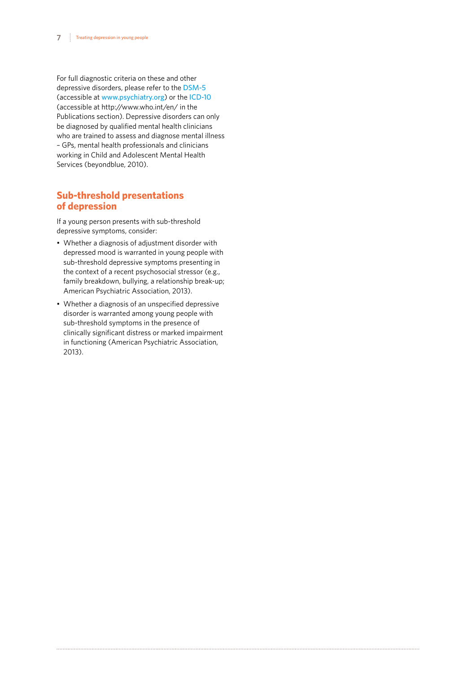<span id="page-6-0"></span>For full diagnostic criteria on these and other depressive disorders, please refer to the [DSM-5](https://www.psychiatry.org/psychiatrists/practice/dsm) (accessible at [www.psychiatry.org](http://www.psychiatry.org)) or the [ICD-10](http://www.who.int/classifications/icd/en/) (accessible at http://www.who.int/en/ in the Publications section). Depressive disorders can only be diagnosed by qualified mental health clinicians who are trained to assess and diagnose mental illness – GPs, mental health professionals and clinicians working in Child and Adolescent Mental Health Services (beyondblue, 2010).

## **Sub-threshold presentations of depression**

If a young person presents with sub-threshold depressive symptoms, consider:

- Whether a diagnosis of adjustment disorder with depressed mood is warranted in young people with sub-threshold depressive symptoms presenting in the context of a recent psychosocial stressor (e.g., family breakdown, bullying, a relationship break-up; American Psychiatric Association, 2013).
- Whether a diagnosis of an unspecified depressive disorder is warranted among young people with sub-threshold symptoms in the presence of clinically significant distress or marked impairment in functioning (American Psychiatric Association, 2013).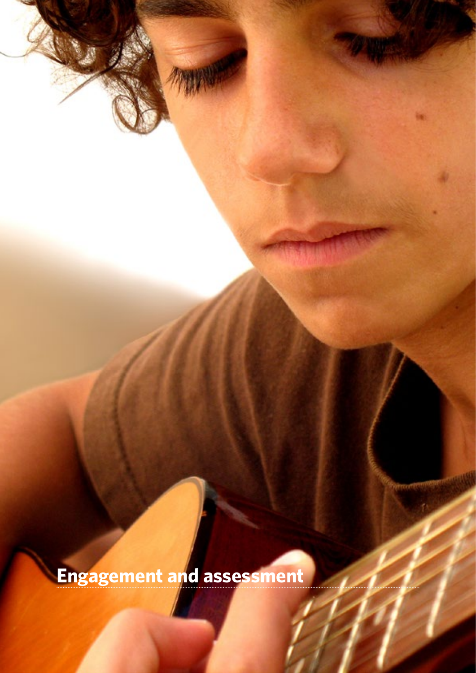**Engagement and assessment**

<span id="page-7-0"></span>**88 Treating departments** 

V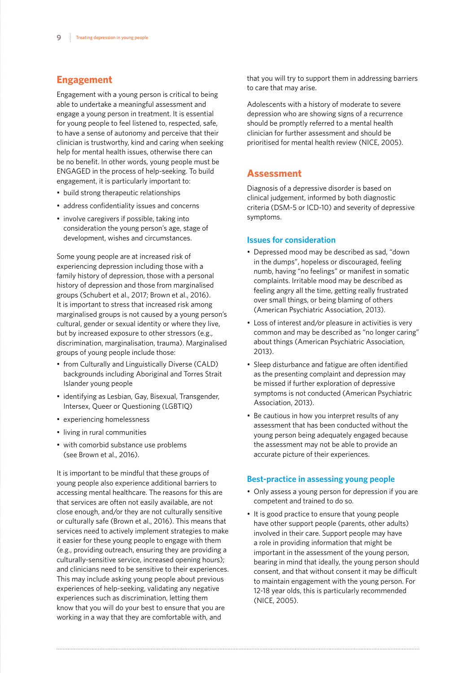## <span id="page-8-0"></span>**Engagement**

Engagement with a young person is critical to being able to undertake a meaningful assessment and engage a young person in treatment. It is essential for young people to feel listened to, respected, safe, to have a sense of autonomy and perceive that their clinician is trustworthy, kind and caring when seeking help for mental health issues, otherwise there can be no benefit. In other words, young people must be ENGAGED in the process of help-seeking. To build engagement, it is particularly important to:

- build strong therapeutic relationships
- address confidentiality issues and concerns
- involve caregivers if possible, taking into consideration the young person's age, stage of development, wishes and circumstances.

Some young people are at increased risk of experiencing depression including those with a family history of depression, those with a personal history of depression and those from marginalised groups (Schubert et al., 2017; Brown et al., 2016). It is important to stress that increased risk among marginalised groups is not caused by a young person's cultural, gender or sexual identity or where they live, but by increased exposure to other stressors (e.g., discrimination, marginalisation, trauma). Marginalised groups of young people include those:

- from Culturally and Linguistically Diverse (CALD) backgrounds including Aboriginal and Torres Strait Islander young people
- identifying as Lesbian, Gay, Bisexual, Transgender, Intersex, Queer or Questioning (LGBTIQ)
- experiencing homelessness
- living in rural communities
- with comorbid substance use problems (see Brown et al., 2016).

It is important to be mindful that these groups of young people also experience additional barriers to accessing mental healthcare. The reasons for this are that services are often not easily available, are not close enough, and/or they are not culturally sensitive or culturally safe (Brown et al., 2016). This means that services need to actively implement strategies to make it easier for these young people to engage with them (e.g., providing outreach, ensuring they are providing a culturally-sensitive service, increased opening hours); and clinicians need to be sensitive to their experiences. This may include asking young people about previous experiences of help-seeking, validating any negative experiences such as discrimination, letting them know that you will do your best to ensure that you are working in a way that they are comfortable with, and

that you will try to support them in addressing barriers to care that may arise.

Adolescents with a history of moderate to severe depression who are showing signs of a recurrence should be promptly referred to a mental health clinician for further assessment and should be prioritised for mental health review (NICE, 2005).

## **Assessment**

Diagnosis of a depressive disorder is based on clinical judgement, informed by both diagnostic criteria (DSM-5 or ICD-10) and severity of depressive symptoms.

#### **Issues for consideration**

- Depressed mood may be described as sad, "down in the dumps", hopeless or discouraged, feeling numb, having "no feelings" or manifest in somatic complaints. Irritable mood may be described as feeling angry all the time, getting really frustrated over small things, or being blaming of others (American Psychiatric Association, 2013).
- Loss of interest and/or pleasure in activities is very common and may be described as "no longer caring" about things (American Psychiatric Association, 2013).
- Sleep disturbance and fatigue are often identified as the presenting complaint and depression may be missed if further exploration of depressive symptoms is not conducted (American Psychiatric Association, 2013).
- Be cautious in how you interpret results of any assessment that has been conducted without the young person being adequately engaged because the assessment may not be able to provide an accurate picture of their experiences.

#### **Best-practice in assessing young people**

- Only assess a young person for depression if you are competent and trained to do so.
- It is good practice to ensure that young people have other support people (parents, other adults) involved in their care. Support people may have a role in providing information that might be important in the assessment of the young person, bearing in mind that ideally, the young person should consent, and that without consent it may be difficult to maintain engagement with the young person. For 12-18 year olds, this is particularly recommended (NICE, 2005).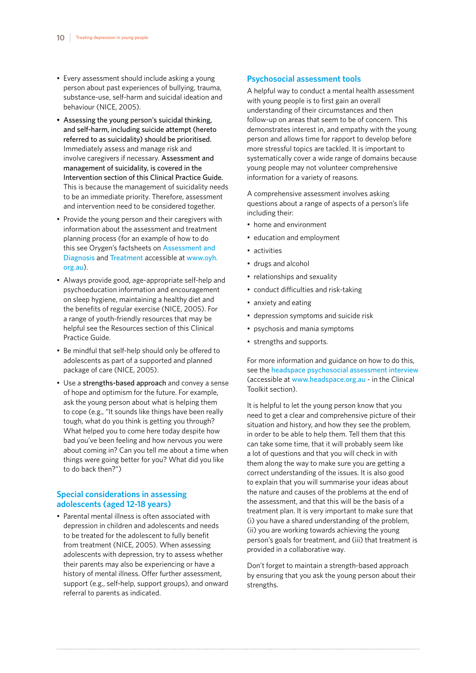- <span id="page-9-0"></span>• Every assessment should include asking a young person about past experiences of bullying, trauma, substance-use, self-harm and suicidal ideation and behaviour (NICE, 2005).
- Assessing the young person's suicidal thinking, and self-harm, including suicide attempt (hereto referred to as suicidality) should be prioritised. Immediately assess and manage risk and involve caregivers if necessary. Assessment and management of suicidality, is covered in the Intervention section of this Clinical Practice Guide. This is because the management of suicidality needs to be an immediate priority. Therefore, assessment and intervention need to be considered together.
- Provide the young person and their caregivers with information about the assessment and treatment planning process (for an example of how to do this see Orygen's factsheets on [Assessment and](http://oyh.org.au/sites/oyh.org.au/files/OYHfactsheets_assessment_web.pdf)  [Diagnosis](http://oyh.org.au/sites/oyh.org.au/files/OYHfactsheets_assessment_web.pdf) and [Treatment](http://oyh.org.au/sites/oyh.org.au/files/OYHfactsheets_treatment_web.pdf) accessible at [www.oyh.](http://www.oyh.org.au) [org.au](http://www.oyh.org.au)).
- Always provide good, age-appropriate self-help and psychoeducation information and encouragement on sleep hygiene, maintaining a healthy diet and the benefits of regular exercise (NICE, 2005). For a range of youth-friendly resources that may be helpful see the Resources section of this Clinical Practice Guide.
- Be mindful that self-help should only be offered to adolescents as part of a supported and planned package of care (NICE, 2005).
- Use a strengths-based approach and convey a sense of hope and optimism for the future. For example, ask the young person about what is helping them to cope (e.g., "It sounds like things have been really tough, what do you think is getting you through? What helped you to come here today despite how bad you've been feeling and how nervous you were about coming in? Can you tell me about a time when things were going better for you? What did you like to do back then?")

#### **Special considerations in assessing adolescents (aged 12-18 years)**

• Parental mental illness is often associated with depression in children and adolescents and needs to be treated for the adolescent to fully benefit from treatment (NICE, 2005). When assessing adolescents with depression, try to assess whether their parents may also be experiencing or have a history of mental illness. Offer further assessment, support (e.g., self-help, support groups), and onward referral to parents as indicated.

#### **Psychosocial assessment tools**

A helpful way to conduct a mental health assessment with young people is to first gain an overall understanding of their circumstances and then follow-up on areas that seem to be of concern. This demonstrates interest in, and empathy with the young person and allows time for rapport to develop before more stressful topics are tackled. It is important to systematically cover a wide range of domains because young people may not volunteer comprehensive information for a variety of reasons.

A comprehensive assessment involves asking questions about a range of aspects of a person's life including their:

- home and environment
- education and employment
- activities
- drugs and alcohol
- relationships and sexuality
- conduct difficulties and risk-taking
- anxiety and eating
- depression symptoms and suicide risk
- psychosis and mania symptoms
- strengths and supports.

For more information and guidance on how to do this, see the [headspace psychosocial assessment interview](https://headspace.org.au/health-professionals/psychosocial-assessment-interview/) (accessible at [www.headspace.org.au](http://www.headspace.org.au) - in the Clinical Toolkit section).

It is helpful to let the young person know that you need to get a clear and comprehensive picture of their situation and history, and how they see the problem, in order to be able to help them. Tell them that this can take some time, that it will probably seem like a lot of questions and that you will check in with them along the way to make sure you are getting a correct understanding of the issues. It is also good to explain that you will summarise your ideas about the nature and causes of the problems at the end of the assessment, and that this will be the basis of a treatment plan. It is very important to make sure that (i) you have a shared understanding of the problem, (ii) you are working towards achieving the young person's goals for treatment, and (iii) that treatment is provided in a collaborative way.

Don't forget to maintain a strength-based approach by ensuring that you ask the young person about their strengths.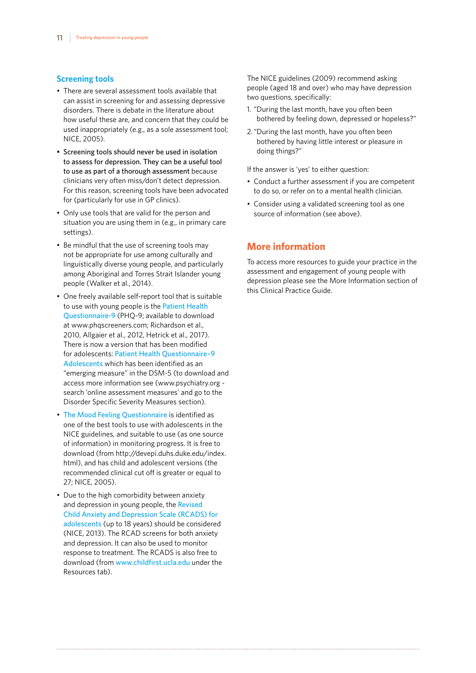#### <span id="page-10-0"></span>**Screening tools**

- There are several assessment tools available that can assist in screening for and assessing depressive disorders. There is debate in the literature about how useful these are, and concern that they could be used inappropriately (e.g., as a sole assessment tool; NICE, 2005).
- Screening tools should never be used in isolation to assess for depression. They can be a useful tool to use as part of a thorough assessment because clinicians very often miss/don't detect depression. For this reason, screening tools have been advocated for (particularly for use in GP clinics).
- Only use tools that are valid for the person and situation you are using them in (e.g., in primary care settings).
- Be mindful that the use of screening tools may not be appropriate for use among culturally and linguistically diverse young people, and particularly among Aboriginal and Torres Strait Islander young people (Walker et al., 2014).
- One freely available self-report tool that is suitable to use with young people is the Patient Health [Questionnaire-9](http://www.phqscreeners.com/) (PHQ-9; available to download at www.phqscreeners.com; Richardson et al., 2010, Allgaier et al., 2012, Hetrick et al., 2017). There is now a version that has been modified for adolescents: [Patient Health Questionnaire–9](https://www.psychiatry.org/psychiatrists/practice/dsm/educational-resources/assessment-measures)  [Adolescents](https://www.psychiatry.org/psychiatrists/practice/dsm/educational-resources/assessment-measures) which has been identified as an "emerging measure" in the DSM-5 (to download and access more information see (www.psychiatry.org search 'online assessment measures' and go to the Disorder Specific Severity Measures section).
- [The Mood Feeling Questionnaire](http://devepi.duhs.duke.edu/mfq.html) is identified as one of the best tools to use with adolescents in the NICE guidelines, and suitable to use (as one source of information) in monitoring progress. It is free to download (from http://devepi.duhs.duke.edu/index. html), and has child and adolescent versions (the recommended clinical cut off is greater or equal to 27; NICE, 2005).
- Due to the high comorbidity between anxiety and depression in young people, the [Revised](http://www.childfirst.ucla.edu/Resources.html)  [Child Anxiety and Depression Scale \(RCADS\) for](http://www.childfirst.ucla.edu/Resources.html)  [adolescents](http://www.childfirst.ucla.edu/Resources.html) (up to 18 years) should be considered (NICE, 2013). The RCAD screens for both anxiety and depression. It can also be used to monitor response to treatment. The RCADS is also free to download (from [www.childfirst.ucla.edu](http://www.childfirst.ucla.edu) under the Resources tab).

The NICE guidelines (2009) recommend asking people (aged 18 and over) who may have depression two questions, specifically:

- 1. "During the last month, have you often been bothered by feeling down, depressed or hopeless?"
- 2."During the last month, have you often been bothered by having little interest or pleasure in doing things?"

If the answer is 'yes' to either question:

- Conduct a further assessment if you are competent to do so, or refer on to a mental health clinician.
- Consider using a validated screening tool as one source of information (see above).

## **More information**

To access more resources to guide your practice in the assessment and engagement of young people with depression please see the More Information section of this Clinical Practice Guide.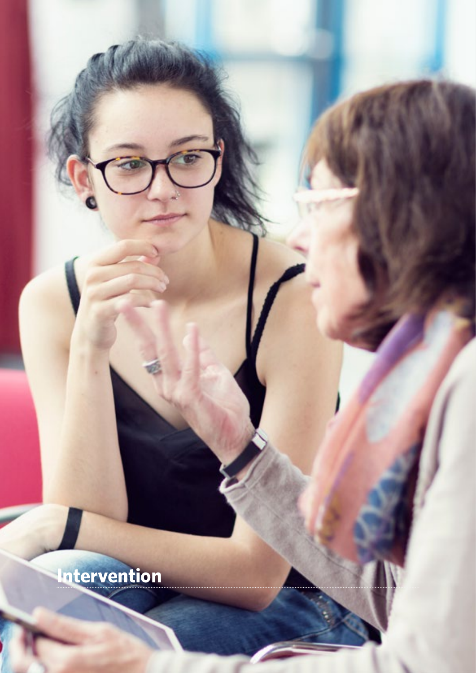**Intervention**

<span id="page-11-0"></span>**12** Treating depression in young people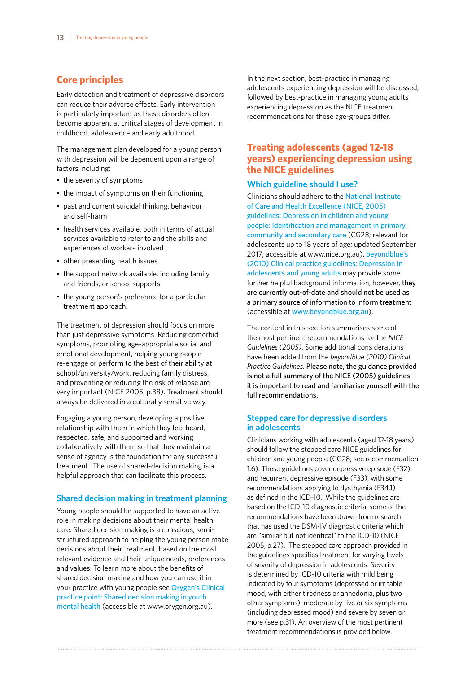## <span id="page-12-0"></span>**Core principles**

Early detection and treatment of depressive disorders can reduce their adverse effects. Early intervention is particularly important as these disorders often become apparent at critical stages of development in childhood, adolescence and early adulthood.

The management plan developed for a young person with depression will be dependent upon a range of factors including:

- the severity of symptoms
- the impact of symptoms on their functioning
- past and current suicidal thinking, behaviour and self-harm
- health services available, both in terms of actual services available to refer to and the skills and experiences of workers involved
- other presenting health issues
- the support network available, including family and friends, or school supports
- the young person's preference for a particular treatment approach.

The treatment of depression should focus on more than just depressive symptoms. Reducing comorbid symptoms, promoting age-appropriate social and emotional development, helping young people re-engage or perform to the best of their ability at school/university/work, reducing family distress, and preventing or reducing the risk of relapse are very important (NICE 2005, p.38). Treatment should always be delivered in a culturally sensitive way.

Engaging a young person, developing a positive relationship with them in which they feel heard, respected, safe, and supported and working collaboratively with them so that they maintain a sense of agency is the foundation for any successful treatment. The use of shared-decision making is a helpful approach that can facilitate this process.

## **Shared decision making in treatment planning**

Young people should be supported to have an active role in making decisions about their mental health care. Shared decision making is a conscious, semistructured approach to helping the young person make decisions about their treatment, based on the most relevant evidence and their unique needs, preferences and values. To learn more about the benefits of shared decision making and how you can use it in your practice with young people see [Orygen's Clinical](https://www.orygen.org.au/Skills-Knowledge/Resources-Training/Resources/Free/Clinical-Practice)  [practice point: Shared decision making in youth](https://www.orygen.org.au/Skills-Knowledge/Resources-Training/Resources/Free/Clinical-Practice)  [mental health](https://www.orygen.org.au/Skills-Knowledge/Resources-Training/Resources/Free/Clinical-Practice) (accessible at www.orygen.org.au).

In the next section, best-practice in managing adolescents experiencing depression will be discussed, followed by best-practice in managing young adults experiencing depression as the NICE treatment recommendations for these age-groups differ.

## **Treating adolescents (aged 12-18 years) experiencing depression using the NICE guidelines**

#### **Which guideline should I use?**

Clinicians should adhere to the [National Institute](https://www.nice.org.uk/guidance/cg28)  [of Care and Health Excellence \(NICE, 2005\)](https://www.nice.org.uk/guidance/cg28)  [guidelines: Depression in children and young](https://www.nice.org.uk/guidance/cg28)  [people: Identification and management in primary,](https://www.nice.org.uk/guidance/cg28)  [community and secondary care](https://www.nice.org.uk/guidance/cg28) (CG28; relevant for adolescents up to 18 years of age; updated September 2017; accessible at www.nice.org.au). beyondblue's [\(2010\) Clinical practice guidelines: Depression in](https://www.beyondblue.org.au/health-professionals/clinical-practice-guidelines)  [adolescents and young adults](https://www.beyondblue.org.au/health-professionals/clinical-practice-guidelines) may provide some further helpful background information, however, they are currently out-of-date and should not be used as a primary source of information to inform treatment (accessible at [www.beyondblue.org.au](http://www.beyondblue.org.au)).

The content in this section summarises some of the most pertinent recommendations for the *NICE Guidelines (2005)*. Some additional considerations have been added from the *beyondblue (2010) Clinical Practice Guidelines*. Please note, the guidance provided is not a full summary of the NICE (2005) guidelines – it is important to read and familiarise yourself with the full recommendations.

## **Stepped care for depressive disorders in adolescents**

Clinicians working with adolescents (aged 12-18 years) should follow the stepped care NICE guidelines for children and young people (CG28; see recommendation 1.6). These guidelines cover depressive episode (F32) and recurrent depressive episode (F33), with some recommendations applying to dysthymia (F34.1) as defined in the ICD-10. While the guidelines are based on the ICD-10 diagnostic criteria, some of the recommendations have been drawn from research that has used the DSM-IV diagnostic criteria which are "similar but not identical" to the ICD-10 (NICE 2005, p.27). The stepped care approach provided in the guidelines specifies treatment for varying levels of severity of depression in adolescents. Severity is determined by ICD-10 criteria with mild being indicated by four symptoms (depressed or irritable mood, with either tiredness or anhedonia, plus two other symptoms), moderate by five or six symptoms (including depressed mood) and severe by seven or more (see p.31). An overview of the most pertinent treatment recommendations is provided below.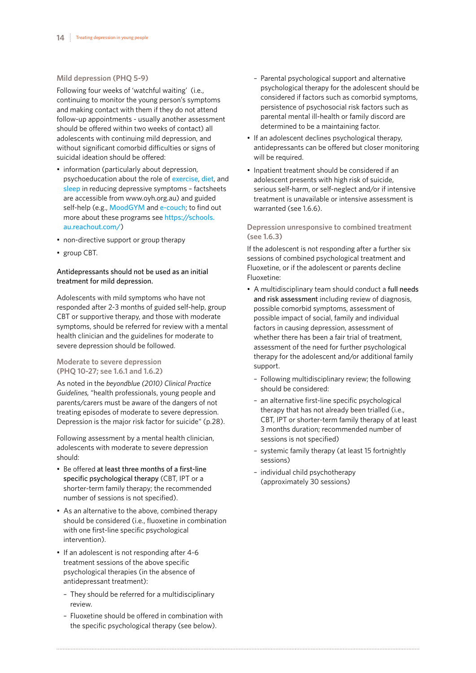#### **Mild depression (PHQ 5-9)**

Following four weeks of 'watchful waiting' (i.e., continuing to monitor the young person's symptoms and making contact with them if they do not attend follow-up appointments - usually another assessment should be offered within two weeks of contact) all adolescents with continuing mild depression, and without significant comorbid difficulties or signs of suicidal ideation should be offered:

- information (particularly about depression, psychoeducation about the role of [exercise](http://oyh.org.au/sites/oyh.org.au/files/factsheets/oyh_wellbeing_getting_active.pdf), [diet](http://oyh.org.au/sites/oyh.org.au/files/factsheets/oyh_wellbeing_eating.pdf), and [sleep](http://oyh.org.au/sites/oyh.org.au/files/factsheets/oyh_sleep_factsheet.pdf) in reducing depressive symptoms – factsheets are accessible from www.oyh.org.au) and guided self-help (e.g., [MoodGYM](https://schools.au.reachout.com/articles/moodgym) and [e-couch](https://schools.au.reachout.com/articles/e-couch); to find out more about these programs see [https://schools.](https://schools.au.reachout.com/) [au.reachout.com/](https://schools.au.reachout.com/))
- non-directive support or group therapy
- group CBT.

## Antidepressants should not be used as an initial treatment for mild depression.

Adolescents with mild symptoms who have not responded after 2-3 months of guided self-help, group CBT or supportive therapy, and those with moderate symptoms, should be referred for review with a mental health clinician and the guidelines for moderate to severe depression should be followed.

#### **Moderate to severe depression (PHQ 10-27; see 1.6.1 and 1.6.2)**

As noted in the *beyondblue (2010) Clinical Practice Guidelines,* "health professionals, young people and parents/carers must be aware of the dangers of not treating episodes of moderate to severe depression. Depression is the major risk factor for suicide" (p.28).

Following assessment by a mental health clinician, adolescents with moderate to severe depression should:

- Be offered at least three months of a first-line specific psychological therapy (CBT, IPT or a shorter-term family therapy; the recommended number of sessions is not specified).
- As an alternative to the above, combined therapy should be considered (i.e., fluoxetine in combination with one first-line specific psychological intervention).
- If an adolescent is not responding after 4-6 treatment sessions of the above specific psychological therapies (in the absence of antidepressant treatment):
	- They should be referred for a multidisciplinary review
	- Fluoxetine should be offered in combination with the specific psychological therapy (see below).
- Parental psychological support and alternative psychological therapy for the adolescent should be considered if factors such as comorbid symptoms, persistence of psychosocial risk factors such as parental mental ill-health or family discord are determined to be a maintaining factor.
- If an adolescent declines psychological therapy, antidepressants can be offered but closer monitoring will be required.
- Inpatient treatment should be considered if an adolescent presents with high risk of suicide, serious self-harm, or self-neglect and/or if intensive treatment is unavailable or intensive assessment is warranted (see 1.6.6).

## **Depression unresponsive to combined treatment (see 1.6.3)**

If the adolescent is not responding after a further six sessions of combined psychological treatment and Fluoxetine, or if the adolescent or parents decline Fluoxetine:

- A multidisciplinary team should conduct a full needs and risk assessment including review of diagnosis, possible comorbid symptoms, assessment of possible impact of social, family and individual factors in causing depression, assessment of whether there has been a fair trial of treatment, assessment of the need for further psychological therapy for the adolescent and/or additional family support.
	- Following multidisciplinary review; the following should be considered:
	- an alternative first-line specific psychological therapy that has not already been trialled (i.e., CBT, IPT or shorter-term family therapy of at least 3 months duration; recommended number of sessions is not specified)
	- systemic family therapy (at least 15 fortnightly sessions)
	- individual child psychotherapy (approximately 30 sessions)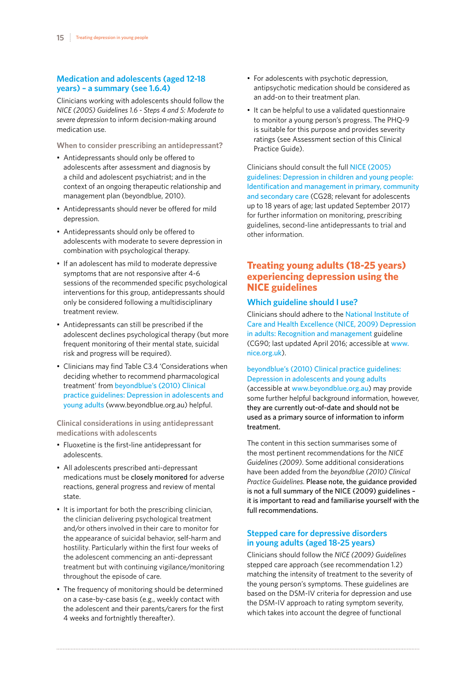## <span id="page-14-0"></span>**Medication and adolescents (aged 12-18 years) – a summary (see 1.6.4)**

Clinicians working with adolescents should follow the *NICE (2005) Guidelines 1.6 - Steps 4 and 5: Moderate to severe depression* to inform decision-making around medication use.

**When to consider prescribing an antidepressant?**

- Antidepressants should only be offered to adolescents after assessment and diagnosis by a child and adolescent psychiatrist; and in the context of an ongoing therapeutic relationship and management plan (beyondblue, 2010).
- Antidepressants should never be offered for mild depression.
- Antidepressants should only be offered to adolescents with moderate to severe depression in combination with psychological therapy.
- If an adolescent has mild to moderate depressive symptoms that are not responsive after 4-6 sessions of the recommended specific psychological interventions for this group, antidepressants should only be considered following a multidisciplinary treatment review.
- Antidepressants can still be prescribed if the adolescent declines psychological therapy (but more frequent monitoring of their mental state, suicidal risk and progress will be required).
- Clinicians may find Table C3.4 'Considerations when deciding whether to recommend pharmacological treatment' from [beyondblue's \(2010\) Clinical](https://www.beyondblue.org.au/health-professionals/clinical-practice-guidelines)  [practice guidelines: Depression in adolescents and](https://www.beyondblue.org.au/health-professionals/clinical-practice-guidelines)  [young adults](https://www.beyondblue.org.au/health-professionals/clinical-practice-guidelines) (www.beyondblue.org.au) helpful.

**Clinical considerations in using antidepressant medications with adolescents**

- Fluoxetine is the first-line antidepressant for adolescents.
- All adolescents prescribed anti-depressant medications must be closely monitored for adverse reactions, general progress and review of mental state.
- It is important for both the prescribing clinician, the clinician delivering psychological treatment and/or others involved in their care to monitor for the appearance of suicidal behavior, self-harm and hostility. Particularly within the first four weeks of the adolescent commencing an anti-depressant treatment but with continuing vigilance/monitoring throughout the episode of care.
- The frequency of monitoring should be determined on a case-by-case basis (e.g., weekly contact with the adolescent and their parents/carers for the first 4 weeks and fortnightly thereafter).
- For adolescents with psychotic depression, antipsychotic medication should be considered as an add-on to their treatment plan.
- It can be helpful to use a validated questionnaire to monitor a young person's progress. The PHQ-9 is suitable for this purpose and provides severity ratings (see Assessment section of this Clinical Practice Guide).

Clinicians should consult the full [NICE \(2005\)](https://www.nice.org.uk/guidance/cg28)  [guidelines: Depression in children and young people:](https://www.nice.org.uk/guidance/cg28)  [Identification and management in primary, community](https://www.nice.org.uk/guidance/cg28) [and secondary care](https://www.nice.org.uk/guidance/cg28) (CG28; relevant for adolescents up to 18 years of age; last updated September 2017) for further information on monitoring, prescribing guidelines, second-line antidepressants to trial and other information.

## **Treating young adults (18-25 years) experiencing depression using the NICE guidelines**

## **Which guideline should I use?**

Clinicians should adhere to the [National Institute of](https://www.nice.org.uk/guidance/cg90)  [Care and Health Excellence \(NICE, 2009\) Depression](https://www.nice.org.uk/guidance/cg90)  [in adults: Recognition and management](https://www.nice.org.uk/guidance/cg90) guideline (CG90; last updated April 2016; accessible at [www.](http://www.nice.org.uk) [nice.org.uk](http://www.nice.org.uk)).

[beyondblue's \(2010\) Clinical practice guidelines:](https://www.beyondblue.org.au/health-professionals/clinical-practice-guidelines)  [Depression in adolescents and young adults](https://www.beyondblue.org.au/health-professionals/clinical-practice-guidelines) (accessible at [www.beyondblue.org.au](http://www.beyondblue.org.au)) may provide some further helpful background information, however, they are currently out-of-date and should not be used as a primary source of information to inform treatment.

The content in this section summarises some of the most pertinent recommendations for the *NICE Guidelines (2009)*. Some additional considerations have been added from the *beyondblue (2010) Clinical Practice Guidelines*. Please note, the guidance provided is not a full summary of the NICE (2009) guidelines – it is important to read and familiarise yourself with the full recommendations.

## **Stepped care for depressive disorders in young adults (aged 18-25 years)**

Clinicians should follow the *NICE (2009) Guidelines* stepped care approach (see recommendation 1.2) matching the intensity of treatment to the severity of the young person's symptoms. These guidelines are based on the DSM-IV criteria for depression and use the DSM-IV approach to rating symptom severity, which takes into account the degree of functional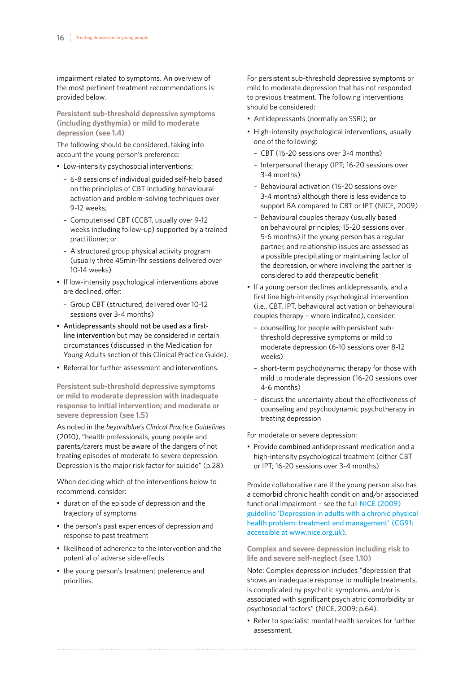impairment related to symptoms. An overview of the most pertinent treatment recommendations is provided below.

**Persistent sub-threshold depressive symptoms (including dysthymia) or mild to moderate depression (see 1.4)**

The following should be considered, taking into account the young person's preference:

- Low-intensity psychosocial interventions:
	- 6-8 sessions of individual guided self-help based on the principles of CBT including behavioural activation and problem-solving techniques over 9-12 weeks;
	- Computerised CBT (CCBT, usually over 9-12 weeks including follow-up) supported by a trained practitioner; or
	- A structured group physical activity program (usually three 45min-1hr sessions delivered over 10-14 weeks)
- If low-intensity psychological interventions above are declined, offer:
	- Group CBT (structured, delivered over 10-12 sessions over 3-4 months)
- Antidepressants should not be used as a firstline intervention but may be considered in certain circumstances (discussed in the Medication for Young Adults section of this Clinical Practice Guide).
- Referral for further assessment and interventions.

**Persistent sub-threshold depressive symptoms or mild to moderate depression with inadequate response to initial intervention; and moderate or severe depression (see 1.5)**

As noted in the *beyondblue's Clinical Practice Guidelines* (2010), "health professionals, young people and parents/carers must be aware of the dangers of not treating episodes of moderate to severe depression. Depression is the major risk factor for suicide" (p.28).

When deciding which of the interventions below to recommend, consider:

- duration of the episode of depression and the trajectory of symptoms
- the person's past experiences of depression and response to past treatment
- likelihood of adherence to the intervention and the potential of adverse side-effects
- the young person's treatment preference and priorities.

For persistent sub-threshold depressive symptoms or mild to moderate depression that has not responded to previous treatment. The following interventions should be considered:

- Antidepressants (normally an SSRI); or
- High-intensity psychological interventions, usually one of the following:
	- CBT (16-20 sessions over 3-4 months)
	- Interpersonal therapy (IPT; 16-20 sessions over 3-4 months)
	- Behavioural activation (16-20 sessions over 3-4 months) although there is less evidence to support BA compared to CBT or IPT (NICE, 2009)
	- Behavioural couples therapy (usually based on behavioural principles; 15-20 sessions over 5-6 months) if the young person has a regular partner, and relationship issues are assessed as a possible precipitating or maintaining factor of the depression, or where involving the partner is considered to add therapeutic benefit
- If a young person declines antidepressants, and a first line high-intensity psychological intervention (i.e., CBT, IPT, behavioural activation or behavioural couples therapy – where indicated), consider:
	- counselling for people with persistent subthreshold depressive symptoms or mild to moderate depression (6-10 sessions over 8-12 weeks)
	- short-term psychodynamic therapy for those with mild to moderate depression (16-20 sessions over 4-6 months)
	- discuss the uncertainty about the effectiveness of counseling and psychodynamic psychotherapy in treating depression

For moderate or severe depression:

• Provide combined antidepressant medication and a high-intensity psychological treatment (either CBT or IPT; 16-20 sessions over 3-4 months)

Provide collaborative care if the young person also has a comorbid chronic health condition and/or associated functional impairment – see the full [NICE \(2009\)](http://www.nice.org.uk/guidance/cg91)  [guideline 'Depression in adults with a chronic physical](http://www.nice.org.uk/guidance/cg91)  [health problem: treatment and management' \(CG91;](http://www.nice.org.uk/guidance/cg91)  [accessible at www.nice.org.uk\)](http://www.nice.org.uk/guidance/cg91).

**Complex and severe depression including risk to life and severe self-neglect (see 1.10)**

Note: Complex depression includes "depression that shows an inadequate response to multiple treatments, is complicated by psychotic symptoms, and/or is associated with significant psychiatric comorbidity or psychosocial factors" (NICE, 2009; p.64).

• Refer to specialist mental health services for further assessment.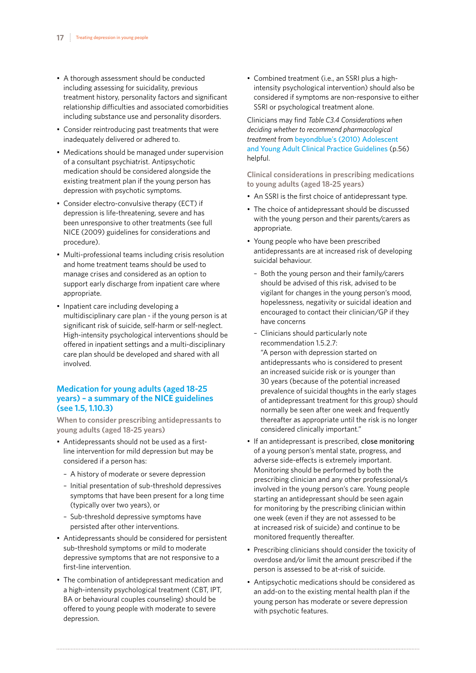- <span id="page-16-0"></span>• A thorough assessment should be conducted including assessing for suicidality, previous treatment history, personality factors and significant relationship difficulties and associated comorbidities including substance use and personality disorders.
- Consider reintroducing past treatments that were inadequately delivered or adhered to.
- Medications should be managed under supervision of a consultant psychiatrist. Antipsychotic medication should be considered alongside the existing treatment plan if the young person has depression with psychotic symptoms.
- Consider electro-convulsive therapy (ECT) if depression is life-threatening, severe and has been unresponsive to other treatments (see full NICE (2009) guidelines for considerations and procedure).
- Multi-professional teams including crisis resolution and home treatment teams should be used to manage crises and considered as an option to support early discharge from inpatient care where appropriate.
- Inpatient care including developing a multidisciplinary care plan - if the young person is at significant risk of suicide, self-harm or self-neglect. High-intensity psychological interventions should be offered in inpatient settings and a multi-disciplinary care plan should be developed and shared with all involved.

## **Medication for young adults (aged 18-25 years) – a summary of the NICE guidelines (see 1.5, 1.10.3)**

**When to consider prescribing antidepressants to young adults (aged 18-25 years)**

- Antidepressants should not be used as a firstline intervention for mild depression but may be considered if a person has:
	- A history of moderate or severe depression
	- Initial presentation of sub-threshold depressives symptoms that have been present for a long time (typically over two years), or
	- Sub-threshold depressive symptoms have persisted after other interventions.
- Antidepressants should be considered for persistent sub-threshold symptoms or mild to moderate depressive symptoms that are not responsive to a first-line intervention.
- The combination of antidepressant medication and a high-intensity psychological treatment (CBT, IPT, BA or behavioural couples counseling) should be offered to young people with moderate to severe depression.

• Combined treatment (i.e., an SSRI plus a highintensity psychological intervention) should also be considered if symptoms are non-responsive to either SSRI or psychological treatment alone.

Clinicians may find *Table C3.4 Considerations when deciding whether to recommend pharmacological treatment* from [beyondblue's \(2010\) Adolescent](https://www.beyondblue.org.au/health-professionals/clinical-practice-guidelines)  [and Young Adult Clinical Practice Guidelines](https://www.beyondblue.org.au/health-professionals/clinical-practice-guidelines) (p.56) helpful.

**Clinical considerations in prescribing medications to young adults (aged 18-25 years)**

- An SSRI is the first choice of antidepressant type.
- The choice of antidepressant should be discussed with the young person and their parents/carers as appropriate.
- Young people who have been prescribed antidepressants are at increased risk of developing suicidal behaviour.
	- Both the young person and their family/carers should be advised of this risk, advised to be vigilant for changes in the young person's mood, hopelessness, negativity or suicidal ideation and encouraged to contact their clinician/GP if they have concerns
	- Clinicians should particularly note recommendation 1.5.2.7: "A person with depression started on antidepressants who is considered to present an increased suicide risk or is younger than 30 years (because of the potential increased prevalence of suicidal thoughts in the early stages of antidepressant treatment for this group) should normally be seen after one week and frequently thereafter as appropriate until the risk is no longer considered clinically important."
- If an antidepressant is prescribed, close monitoring of a young person's mental state, progress, and adverse side-effects is extremely important. Monitoring should be performed by both the prescribing clinician and any other professional/s involved in the young person's care. Young people starting an antidepressant should be seen again for monitoring by the prescribing clinician within one week (even if they are not assessed to be at increased risk of suicide) and continue to be monitored frequently thereafter.
- Prescribing clinicians should consider the toxicity of overdose and/or limit the amount prescribed if the person is assessed to be at-risk of suicide.
- Antipsychotic medications should be considered as an add-on to the existing mental health plan if the young person has moderate or severe depression with psychotic features.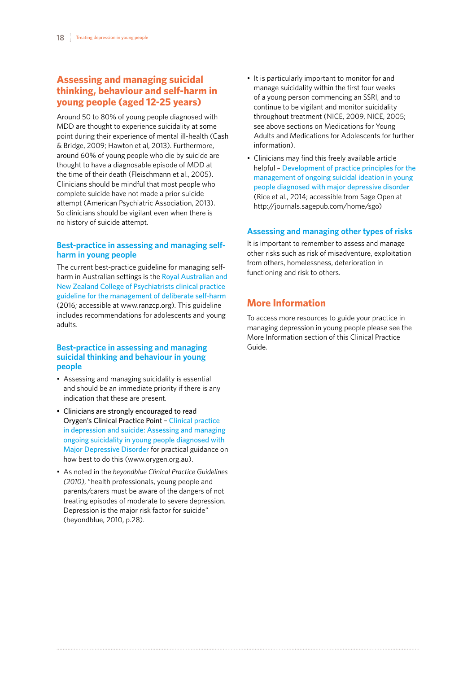## <span id="page-17-0"></span>**Assessing and managing suicidal thinking, behaviour and self-harm in young people (aged 12-25 years)**

Around 50 to 80% of young people diagnosed with MDD are thought to experience suicidality at some point during their experience of mental ill-health (Cash & Bridge, 2009; Hawton et al, 2013). Furthermore, around 60% of young people who die by suicide are thought to have a diagnosable episode of MDD at the time of their death (Fleischmann et al., 2005). Clinicians should be mindful that most people who complete suicide have not made a prior suicide attempt (American Psychiatric Association, 2013). So clinicians should be vigilant even when there is no history of suicide attempt.

## **Best-practice in assessing and managing selfharm in young people**

The current best-practice guideline for managing selfharm in Australian settings is the [Royal Australian and](https://www.ranzcp.org/Files/Resources/Publications/CPG/Deliberate-self-harm-CPG.aspx)  [New Zealand College of Psychiatrists clinical practice](https://www.ranzcp.org/Files/Resources/Publications/CPG/Deliberate-self-harm-CPG.aspx)  [guideline for the management of deliberate self-harm](https://www.ranzcp.org/Files/Resources/Publications/CPG/Deliberate-self-harm-CPG.aspx) (2016; accessible at www.ranzcp.org). This guideline includes recommendations for adolescents and young adults.

#### **Best-practice in assessing and managing suicidal thinking and behaviour in young people**

- Assessing and managing suicidality is essential and should be an immediate priority if there is any indication that these are present.
- Clinicians are strongly encouraged to read Orygen's Clinical Practice Point – [Clinical practice](https://www.orygen.org.au/Skills-Knowledge/Resources-Training/Resources/Free/Clinical-Practice)  [in depression and suicide: Assessing and managing](https://www.orygen.org.au/Skills-Knowledge/Resources-Training/Resources/Free/Clinical-Practice)  [ongoing suicidality in young people diagnosed with](https://www.orygen.org.au/Skills-Knowledge/Resources-Training/Resources/Free/Clinical-Practice)  [Major Depressive Disorder](https://www.orygen.org.au/Skills-Knowledge/Resources-Training/Resources/Free/Clinical-Practice) for practical guidance on how best to do this (www.orygen.org.au).
- As noted in the *beyondblue Clinical Practice Guidelines (2010)*, "health professionals, young people and parents/carers must be aware of the dangers of not treating episodes of moderate to severe depression. Depression is the major risk factor for suicide" (beyondblue, 2010, p.28).
- It is particularly important to monitor for and manage suicidality within the first four weeks of a young person commencing an SSRI, and to continue to be vigilant and monitor suicidality throughout treatment (NICE, 2009, NICE, 2005; see above sections on Medications for Young Adults and Medications for Adolescents for further information).
- Clinicians may find this freely available article helpful – [Development of practice principles for the](http://journals.sagepub.com/doi/full/10.1177/2050312114559574)  [management of ongoing suicidal ideation in young](http://journals.sagepub.com/doi/full/10.1177/2050312114559574)  [people diagnosed with major depressive disorder](http://journals.sagepub.com/doi/full/10.1177/2050312114559574) (Rice et al., 2014; accessible from Sage Open at http://journals.sagepub.com/home/sgo)

## **Assessing and managing other types of risks**

It is important to remember to assess and manage other risks such as risk of misadventure, exploitation from others, homelessness, deterioration in functioning and risk to others.

## **More Information**

To access more resources to guide your practice in managing depression in young people please see the More Information section of this Clinical Practice Guide.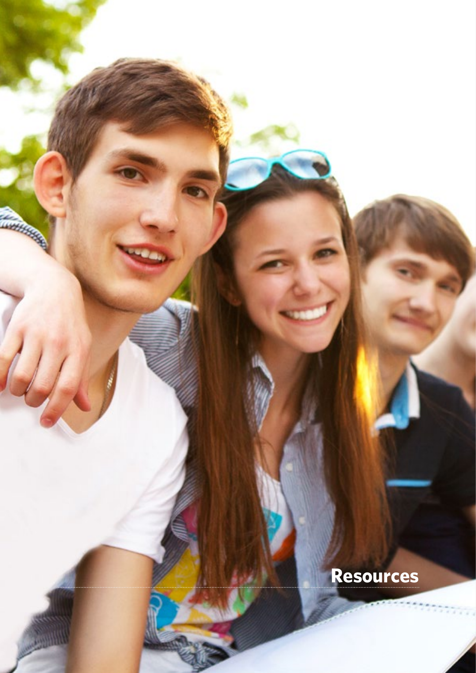**Resources**

**CONTRACTOR** 

<span id="page-18-0"></span>**19** Treating depression in young people

**Comments**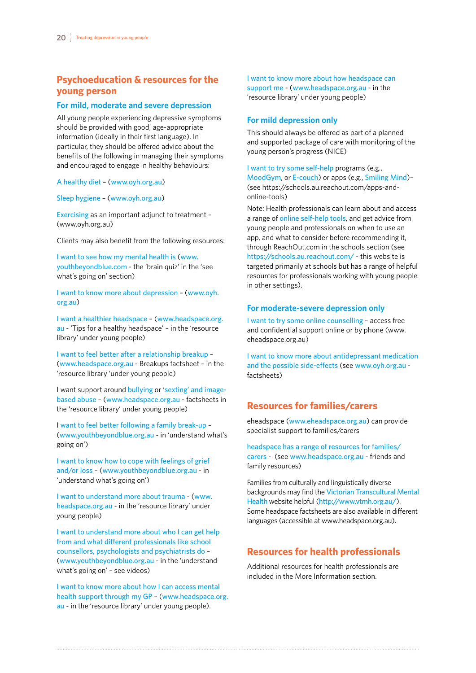## <span id="page-19-0"></span>**Psychoeducation & resources for the young person**

#### **For mild, moderate and severe depression**

All young people experiencing depressive symptoms should be provided with good, age-appropriate information (ideally in their first language). In particular, they should be offered advice about the benefits of the following in managing their symptoms and encouraged to engage in healthy behaviours:

[A healthy diet](http://oyh.org.au/sites/oyh.org.au/files/factsheets/oyh_sleep_factsheet.pdf) – ([www.oyh.org.au](http://www.oyh.org.au))

[Sleep hygiene](http://oyh.org.au/sites/oyh.org.au/files/factsheets/oyh_sleep_factsheet.pdf) – ([www.oyh.org.au](http://www.oyh.org.au))

[Exercising](http://oyh.org.au/sites/oyh.org.au/files/factsheets/oyh_wellbeing_getting_active.pdf) as an important adjunct to treatment – (www.oyh.org.au)

Clients may also benefit from the following resources:

[I want to see how my mental health is](https://www.youthbeyondblue.com/understand-what) ([www.](http://www.youthbeyondblue.com) [youthbeyondblue.com](http://www.youthbeyondblue.com) - the 'brain quiz' in the 'see what's going on' section)

[I want to know more about depression](http://oyh.org.au/sites/oyh.org.au/files/factsheets/oyh_fs_dep.pdf) – ([www.oyh.](http://www.oyh.org.au) [org.au](http://www.oyh.org.au))

[I want a healthier headspace](https://www.headspace.org.au/assets/Uploads/Resource-library/Young-people/Tips-for-a-healthy-headspace-web.pdf) – ([www.headspace.org.](http://www.headspace.org.au) [au](http://www.headspace.org.au) - 'Tips for a healthy headspace' – in the 'resource library' under young people)

[I want to feel better after a relationship breakup](https://www.headspace.org.au/assets/Uploads/Resource-library/Young-people/Dealing-with-relationship-break-ups-web.pdf) – ([www.headspace.org.au](http://www.headspace.org.au) - Breakups factsheet – in the 'resource library 'under young people)

I want support around [bullying](https://www.headspace.org.au/young-people/understanding-bullying-for-young-people/) or '[sexting' and image](https://www.headspace.org.au/young-people/understanding-and-dealing-with-sexting-and-image-based-abuse/)[based abuse](https://www.headspace.org.au/young-people/understanding-and-dealing-with-sexting-and-image-based-abuse/) – ([www.headspace.org.au](http://www.headspace.org.au) - factsheets in the 'resource library' under young people)

I [want to feel better following a family break-up](https://www.youthbeyondblue.com/understand-what) – ([www.youthbeyondblue.org.au](http://www.youthbeyondblue.org.au) - in 'understand what's going on')

[I want to know how to cope with feelings of grief](https://www.youthbeyondblue.com/understand-what)  [and/or loss](https://www.youthbeyondblue.com/understand-what) – ([www.youthbeyondblue.org.au](http://www.youthbeyondblue.org.au) - in 'understand what's going on')

[I want to understand more about trauma](https://www.headspace.org.au/young-people/understanding-trauma-for-young-people/) - ([www.](http://www.headspace.org.au) [headspace.org.au](http://www.headspace.org.au) - in the 'resource library' under young people)

[I want to understand more about who I can get help](https://www.youthbeyondblue.org.au/understand-what%27s-going-on/videos-vlogs)  [from and what different professionals like school](https://www.youthbeyondblue.org.au/understand-what%27s-going-on/videos-vlogs)  [counsellors, psychologists and psychiatrists do](https://www.youthbeyondblue.org.au/understand-what%27s-going-on/videos-vlogs) – ([www.youthbeyondblue.org.au](http://www.youthbeyondblue.org.au) - in the 'understand what's going on' – see videos)

[I want to know more about how I can access mental](https://www.headspace.org.au/assets/Uploads/Resource-library/Young-people/Getting-help-from-a-general-practitioner-web.pdf)  [health support through my GP](https://www.headspace.org.au/assets/Uploads/Resource-library/Young-people/Getting-help-from-a-general-practitioner-web.pdf) – ([www.headspace.org.](http://www.headspace.org.au) [au](http://www.headspace.org.au) - in the 'resource library' under young people).

[I want to know more about how headspace can](https://www.headspace.org.au/assets/Uploads/Resource-library/Young-people/How-headspace-can-help-web.pdf)  [support me](https://www.headspace.org.au/assets/Uploads/Resource-library/Young-people/How-headspace-can-help-web.pdf) - ([www.headspace.org.au](http://www.headspace.org.au) - in the 'resource library' under young people)

#### **For mild depression only**

This should always be offered as part of a planned and supported package of care with monitoring of the young person's progress (NICE)

[I want to try some self-help](https://schools.au.reachout.com/apps-and-online-tools) programs (e.g., [MoodGym](https://schools.au.reachout.com/articles/moodgym), or [E-couch](https://schools.au.reachout.com/articles/e-couch)) or apps (e.g., [Smiling Mind](https://schools.au.reachout.com/articles/smiling-mind))– (see https://schools.au.reachout.com/apps-andonline-tools)

Note: Health professionals can learn about and access a range of [online self-help tools](https://schools.au.reachout.com/apps-and-online-tools), and get advice from young people and professionals on when to use an app, and what to consider before recommending it, through ReachOut.com in the schools section (see <https://schools.au.reachout.com/> - this website is targeted primarily at schools but has a range of helpful resources for professionals working with young people in other settings).

#### **For moderate-severe depression only**

[I want to try some online counselling](http://www.eheadspace.org.au) – access free and confidential support online or by phone (www. eheadspace.org.au)

[I want to know more about antidepressant medication](http://oyh.org.au/sites/oyh.org.au/files/factsheets/oyh_fs_depmeds.pdf)  [and the possible side-effects](http://oyh.org.au/sites/oyh.org.au/files/factsheets/oyh_fs_depmeds.pdf) (see [www.oyh.org.au](http://www.oyh.org.au) factsheets)

## **Resources for families/carers**

eheadspace ([www.eheadspace.org.au](http://www.eheadspace.org.au)) can provide specialist support to families/carers

[headspace has a range of resources for families/](https://headspace.org.au/friends-and-family/)) [carers](https://headspace.org.au/friends-and-family/)) - (see [www.headspace.org.au](http://www.headspace.org.au) - friends and family resources)

Families from culturally and linguistically diverse backgrounds may find the [Victorian Transcultural Mental](http://www.vtmh.org.au/) [Health](http://www.vtmh.org.au/) website helpful (<http://www.vtmh.org.au/>). Some headspace factsheets are also available in different languages (accessible at www.headspace.org.au).

## **Resources for health professionals**

Additional resources for health professionals are included in the More Information section.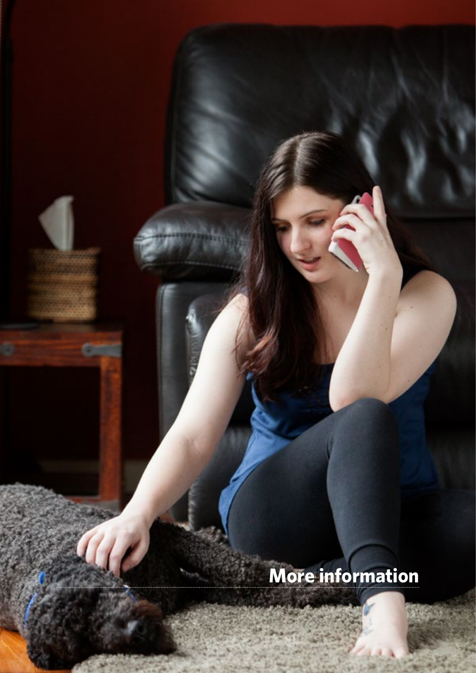# **More information**

<span id="page-20-0"></span>¢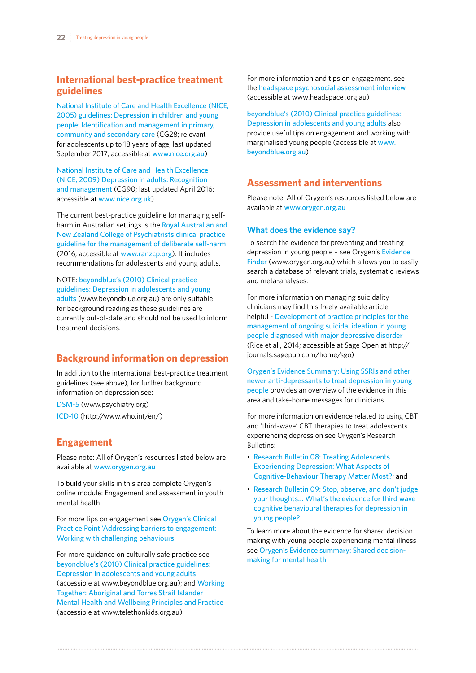## <span id="page-21-0"></span>**International best-practice treatment guidelines**

[National Institute of Care and Health Excellence \(NICE,](https://www.nice.org.uk/guidance/cg28) [2005\) guidelines: Depression in children and young](https://www.nice.org.uk/guidance/cg28)  [people: Identification and management in primary,](https://www.nice.org.uk/guidance/cg28)  [community and secondary care](https://www.nice.org.uk/guidance/cg28) (CG28; relevant for adolescents up to 18 years of age; last updated September 2017; accessible at [www.nice.org.au](http://www.nice.org.au))

[National Institute of Care and Health Excellence](https://www.nice.org.uk/guidance/cg90)  [\(NICE, 2009\) Depression in adults: Recognition](https://www.nice.org.uk/guidance/cg90)  [and management](https://www.nice.org.uk/guidance/cg90) (CG90; last updated April 2016; accessible at [www.nice.org.uk](http://www.nice.org.uk)).

The current best-practice guideline for managing selfharm in Australian settings is the [Royal Australian and](https://www.ranzcp.org/Files/Resources/Publications/CPG/Deliberate-self-harm-CPG.aspx)  [New Zealand College of Psychiatrists clinical practice](https://www.ranzcp.org/Files/Resources/Publications/CPG/Deliberate-self-harm-CPG.aspx)  [guideline for the management of deliberate self-harm](https://www.ranzcp.org/Files/Resources/Publications/CPG/Deliberate-self-harm-CPG.aspx) (2016; accessible at [www.ranzcp.org](https://www.ranzcp.org)). It includes recommendations for adolescents and young adults.

NOTE: [beyondblue's \(2010\) Clinical practice](https://www.beyondblue.org.au/health-professionals/clinical-practice-guidelines)  [guidelines: Depression in adolescents and young](https://www.beyondblue.org.au/health-professionals/clinical-practice-guidelines)  [adults](https://www.beyondblue.org.au/health-professionals/clinical-practice-guidelines) (www.beyondblue.org.au) are only suitable for background reading as these guidelines are currently out-of-date and should not be used to inform treatment decisions.

## **Background information on depression**

In addition to the international best-practice treatment guidelines (see above), for further background information on depression see:

[DSM-5](https://www.psychiatry.org/psychiatrists/practice/dsm) (www.psychiatry.org)

[ICD-10](http://apps.who.int/classifications/icd10/browse/2010/en) (http://www.who.int/en/)

## **Engagement**

Please note: All of Orygen's resources listed below are available at [www.orygen.org.au](http://www.orygen.org.au)

To build your skills in this area complete Orygen's online module: Engagement and assessment in youth mental health

For more tips on engagement see [Orygen's Clinical](https://www.orygen.org.au/Skills-Knowledge/Resources-Training/Resources/Free/Clinical-Practice/Addressing-barriers-to-engagement)  [Practice Point 'Addressing barriers to engagement:](https://www.orygen.org.au/Skills-Knowledge/Resources-Training/Resources/Free/Clinical-Practice/Addressing-barriers-to-engagement)  [Working with challenging behaviours'](https://www.orygen.org.au/Skills-Knowledge/Resources-Training/Resources/Free/Clinical-Practice/Addressing-barriers-to-engagement)

For more guidance on culturally safe practice see [beyondblue's \(2010\) Clinical practice guidelines:](https://www.beyondblue.org.au/health-professionals/clinical-practice-guidelines)  [Depression in adolescents and young adults](https://www.beyondblue.org.au/health-professionals/clinical-practice-guidelines) (accessible at www.beyondblue.org.au); and [Working](https://www.telethonkids.org.au/globalassets/media/documents/aboriginal-health/working-together-second-edition/working-together-aboriginal-and-wellbeing-2014.pdf)  [Together: Aboriginal and Torres Strait Islander](https://www.telethonkids.org.au/globalassets/media/documents/aboriginal-health/working-together-second-edition/working-together-aboriginal-and-wellbeing-2014.pdf)  [Mental Health and Wellbeing Principles and Practice](https://www.telethonkids.org.au/globalassets/media/documents/aboriginal-health/working-together-second-edition/working-together-aboriginal-and-wellbeing-2014.pdf) (accessible at www.telethonkids.org.au)

For more information and tips on engagement, see the [headspace psychosocial assessment interview](https://headspace.org.au/health-professionals/psychosocial-assessment-interview/) (accessible at www.headspace .org.au)

[beyondblue's \(2010\) Clinical practice guidelines:](https://www.beyondblue.org.au/health-professionals/clinical-practice-guidelines)  [Depression in adolescents and young adults](https://www.beyondblue.org.au/health-professionals/clinical-practice-guidelines) also provide useful tips on engagement and working with marginalised young people (accessible at [www.](http://www.beyondblue.org.au) [beyondblue.org.au](http://www.beyondblue.org.au))

## **Assessment and interventions**

Please note: All of Orygen's resources listed below are available at [www.orygen.org.au](http://www.orygen.org.au)

## **What does the evidence say?**

To search the evidence for preventing and treating depression in young people – see Orygen's [Evidence](https://www.orygen.org.au/Skills-Knowledge/Resources-Training/Evidence-Finder)  [Finder](https://www.orygen.org.au/Skills-Knowledge/Resources-Training/Evidence-Finder) (www.orygen.org.au) which allows you to easily search a database of relevant trials, systematic reviews and meta-analyses.

For more information on managing suicidality clinicians may find this freely available article helpful - [Development of practice principles for the](http://journals.sagepub.com/doi/full/10.1177/2050312114559574)  [management of ongoing suicidal ideation in young](http://journals.sagepub.com/doi/full/10.1177/2050312114559574)  [people diagnosed with major depressive disorder](http://journals.sagepub.com/doi/full/10.1177/2050312114559574) (Rice et al., 2014; accessible at Sage Open at http:// journals.sagepub.com/home/sgo)

[Orygen's Evidence Summary: Using SSRIs and other](https://www.orygen.org.au/Skills-Knowledge/Resources-Training/Resources/Free/Evidence-Summaries/Using-SSRI-Antidepressants)  [newer anti-depressants to treat depression in young](https://www.orygen.org.au/Skills-Knowledge/Resources-Training/Resources/Free/Evidence-Summaries/Using-SSRI-Antidepressants)  [people](https://www.orygen.org.au/Skills-Knowledge/Resources-Training/Resources/Free/Evidence-Summaries/Using-SSRI-Antidepressants) provides an overview of the evidence in this area and take-home messages for clinicians.

For more information on evidence related to using CBT and 'third-wave' CBT therapies to treat adolescents experiencing depression see Orygen's Research Bulletins:

- [Research Bulletin 08: Treating Adolescents](https://www.orygen.org.au/Skills-Knowledge/Resources-Training/Resources/Free/Research-Bulletins/Treating-adolescent-depression)  [Experiencing Depression: What Aspects of](https://www.orygen.org.au/Skills-Knowledge/Resources-Training/Resources/Free/Research-Bulletins/Treating-adolescent-depression)  [Cognitive-Behaviour Therapy Matter Most?](https://www.orygen.org.au/Skills-Knowledge/Resources-Training/Resources/Free/Research-Bulletins/Treating-adolescent-depression); and
- [Research Bulletin 09: Stop, observe, and don't judge](https://www.orygen.org.au/Skills-Knowledge/Resources-Training/Resources/Free/Research-Bulletins/cbt-research-bulletin)  [your thoughts… What's the evidence for third wave](https://www.orygen.org.au/Skills-Knowledge/Resources-Training/Resources/Free/Research-Bulletins/cbt-research-bulletin)  [cognitive behavioural therapies for depression in](https://www.orygen.org.au/Skills-Knowledge/Resources-Training/Resources/Free/Research-Bulletins/cbt-research-bulletin)  [young people?](https://www.orygen.org.au/Skills-Knowledge/Resources-Training/Resources/Free/Research-Bulletins/cbt-research-bulletin)

To learn more about the evidence for shared decision making with young people experiencing mental illness see [Orygen's Evidence summary: Shared decision](https://www.orygen.org.au/Skills-Knowledge/Resources-Training/Resources/Free/Evidence-Summaries/Shared-Decision-Making)[making for mental health](https://www.orygen.org.au/Skills-Knowledge/Resources-Training/Resources/Free/Evidence-Summaries/Shared-Decision-Making)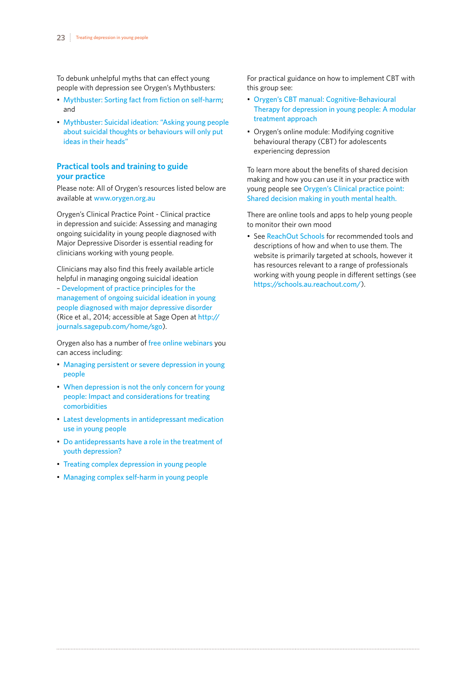<span id="page-22-0"></span>To debunk unhelpful myths that can effect young people with depression see Orygen's Mythbusters:

- [Mythbuster: Sorting fact from fiction on self-harm](https://www.orygen.org.au/Skills-Knowledge/Resources-Training/Resources/Free/Mythbusters/Self-Harm); and
- [Mythbuster: Suicidal ideation: "Asking young people](https://www.orygen.org.au/Skills-Knowledge/Resources-Training/Resources/Free/Mythbusters/Suicidal-Ideation) [about suicidal thoughts or behaviours will only put](https://www.orygen.org.au/Skills-Knowledge/Resources-Training/Resources/Free/Mythbusters/Suicidal-Ideation)  [ideas in their heads"](https://www.orygen.org.au/Skills-Knowledge/Resources-Training/Resources/Free/Mythbusters/Suicidal-Ideation)

## **Practical tools and training to guide your practice**

Please note: All of Orygen's resources listed below are available at [www.orygen.org.au](http://www.orygen.org.au)

Orygen's Clinical Practice Point - Clinical practice in depression and suicide: Assessing and managing ongoing suicidality in young people diagnosed with Major Depressive Disorder is essential reading for clinicians working with young people.

Clinicians may also find this freely available article helpful in managing ongoing suicidal ideation – [Development of practice principles for the](http://journals.sagepub.com/doi/full/10.1177/2050312114559574)  [management of ongoing suicidal ideation in young](http://journals.sagepub.com/doi/full/10.1177/2050312114559574)  [people diagnosed with major depressive disorder](http://journals.sagepub.com/doi/full/10.1177/2050312114559574) (Rice et al., 2014; accessible at Sage Open at [http://](http://journals.sagepub.com/home/sgo) [journals.sagepub.com/home/sgo](http://journals.sagepub.com/home/sgo)).

Orygen also has a number of [free online webinars](https://www.orygen.org.au/Skills-Knowledge/Resources-Training/Webinars/Past-Webinars) you can access including:

- [Managing persistent or severe depression in young](https://www.orygen.org.au/Skills-Knowledge/Resources-Training/Webinars/Managing-persistent-or-severe-depression)  [people](https://www.orygen.org.au/Skills-Knowledge/Resources-Training/Webinars/Managing-persistent-or-severe-depression)
- When depression is not the only concern for young [people: Impact and considerations for treating](https://www.orygen.org.au/Skills-Knowledge/Resources-Training/Webinars/When-depression-is-not-the-only-concern)  [comorbidities](https://www.orygen.org.au/Skills-Knowledge/Resources-Training/Webinars/When-depression-is-not-the-only-concern)
- [Latest developments in antidepressant medication](https://www.orygen.org.au/Skills-Knowledge/Resources-Training/Webinars/Latest-developments-in-anti-depressant-medication)  [use in young people](https://www.orygen.org.au/Skills-Knowledge/Resources-Training/Webinars/Latest-developments-in-anti-depressant-medication)
- [Do antidepressants have a role in the treatment of](https://www.orygen.org.au/Skills-Knowledge/Resources-Training/Webinars/Do-antidepressants-have-a-role-in-the-treatment-of)  [youth depression?](https://www.orygen.org.au/Skills-Knowledge/Resources-Training/Webinars/Do-antidepressants-have-a-role-in-the-treatment-of)
- [Treating complex depression in young people](https://www.orygen.org.au/Skills-Knowledge/Resources-Training/Webinars/Treating-complex-depression-in-young-people)
- [Managing complex self-harm in young people](https://www.orygen.org.au/Skills-Knowledge/Resources-Training/Webinars/Managing-complex-self-harm-in-young-people)

For practical guidance on how to implement CBT with this group see:

- [Orygen's CBT manual: Cognitive-Behavioural](https://www.orygen.org.au/Skills-Knowledge/Resources-Training/Resources/Paid/Manuals/CBT-Depression)  [Therapy for depression in young people: A modular](https://www.orygen.org.au/Skills-Knowledge/Resources-Training/Resources/Paid/Manuals/CBT-Depression)  [treatment approach](https://www.orygen.org.au/Skills-Knowledge/Resources-Training/Resources/Paid/Manuals/CBT-Depression)
- Orygen's online module: Modifying cognitive behavioural therapy (CBT) for adolescents experiencing depression

To learn more about the benefits of shared decision making and how you can use it in your practice with young people see [Orygen's Clinical practice point:](https://www.orygen.org.au/Skills-Knowledge/Resources-Training/Resources/Free/Clinical-Practice/Shared-decision-making)  [Shared decision making in youth mental health.](https://www.orygen.org.au/Skills-Knowledge/Resources-Training/Resources/Free/Clinical-Practice/Shared-decision-making)

There are online tools and apps to help young people to monitor their own mood

• See [ReachOut Schools](https://schools.au.reachout.com/) for recommended tools and descriptions of how and when to use them. The website is primarily targeted at schools, however it has resources relevant to a range of professionals working with young people in different settings (see <https://schools.au.reachout.com/>).